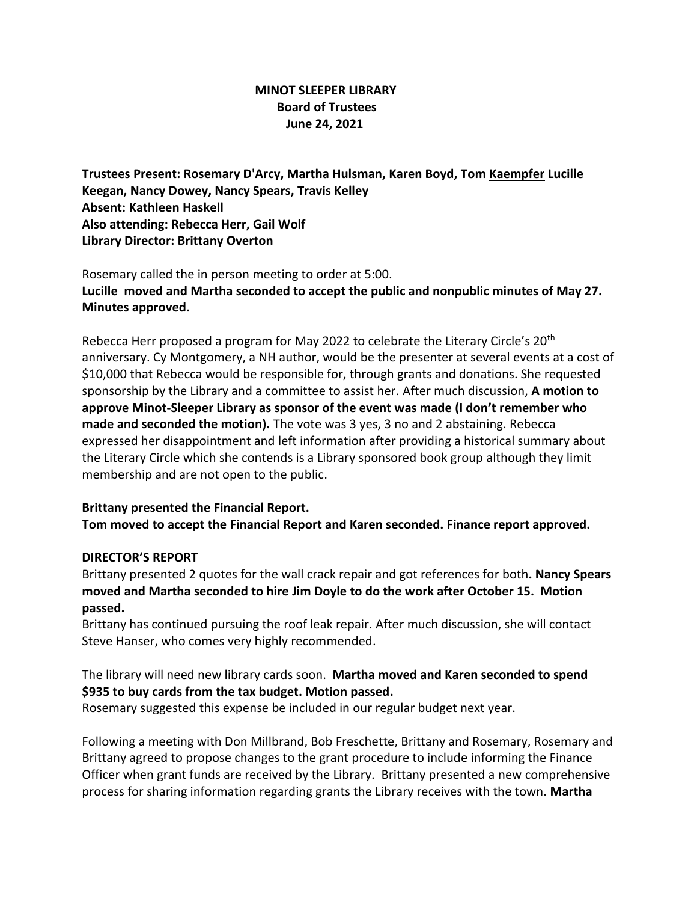## **MINOT SLEEPER LIBRARY Board of Trustees June 24, 2021**

**Trustees Present: Rosemary D'Arcy, Martha Hulsman, Karen Boyd, Tom Kaempfer Lucille Keegan, Nancy Dowey, Nancy Spears, Travis Kelley Absent: Kathleen Haskell Also attending: Rebecca Herr, Gail Wolf Library Director: Brittany Overton** 

Rosemary called the in person meeting to order at 5:00. **Lucille moved and Martha seconded to accept the public and nonpublic minutes of May 27. Minutes approved.**

Rebecca Herr proposed a program for May 2022 to celebrate the Literary Circle's 20th anniversary. Cy Montgomery, a NH author, would be the presenter at several events at a cost of \$10,000 that Rebecca would be responsible for, through grants and donations. She requested sponsorship by the Library and a committee to assist her. After much discussion, **A motion to approve Minot-Sleeper Library as sponsor of the event was made (I don't remember who made and seconded the motion).** The vote was 3 yes, 3 no and 2 abstaining. Rebecca expressed her disappointment and left information after providing a historical summary about the Literary Circle which she contends is a Library sponsored book group although they limit membership and are not open to the public.

#### **Brittany presented the Financial Report.**

**Tom moved to accept the Financial Report and Karen seconded. Finance report approved.**

#### **DIRECTOR'S REPORT**

Brittany presented 2 quotes for the wall crack repair and got references for both**. Nancy Spears moved and Martha seconded to hire Jim Doyle to do the work after October 15. Motion passed.**

Brittany has continued pursuing the roof leak repair. After much discussion, she will contact Steve Hanser, who comes very highly recommended.

# The library will need new library cards soon. **Martha moved and Karen seconded to spend \$935 to buy cards from the tax budget. Motion passed.**

Rosemary suggested this expense be included in our regular budget next year.

Following a meeting with Don Millbrand, Bob Freschette, Brittany and Rosemary, Rosemary and Brittany agreed to propose changes to the grant procedure to include informing the Finance Officer when grant funds are received by the Library. Brittany presented a new comprehensive process for sharing information regarding grants the Library receives with the town. **Martha**